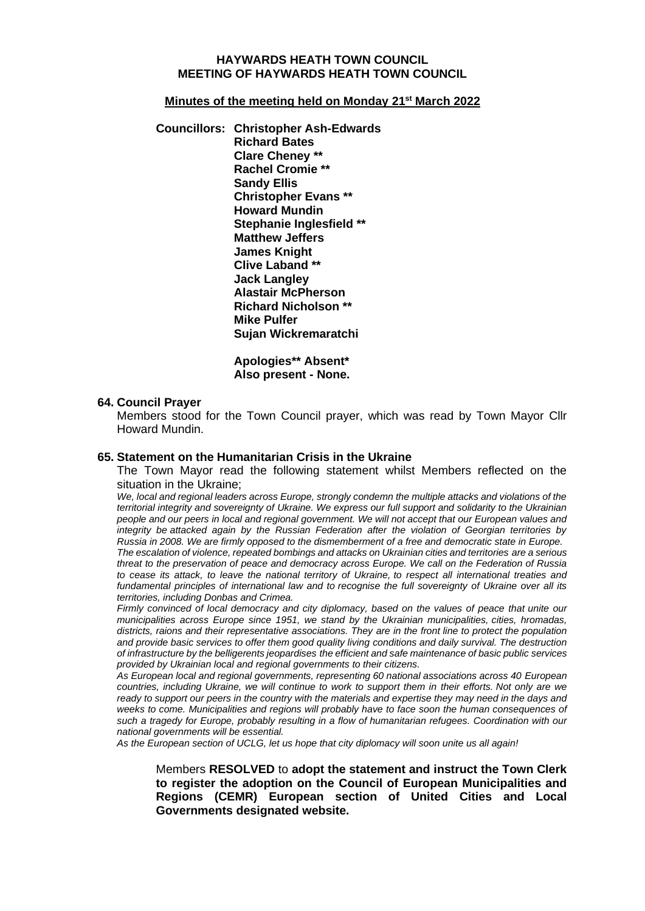### **HAYWARDS HEATH TOWN COUNCIL MEETING OF HAYWARDS HEATH TOWN COUNCIL**

#### **Minutes of the meeting held on Monday 21st March 2022**

**Councillors: Christopher Ash-Edwards Richard Bates Clare Cheney \*\* Rachel Cromie \*\* Sandy Ellis Christopher Evans \*\* Howard Mundin Stephanie Inglesfield \*\* Matthew Jeffers James Knight Clive Laband \*\* Jack Langley Alastair McPherson Richard Nicholson \*\* Mike Pulfer Sujan Wickremaratchi**

> **Apologies\*\* Absent\* Also present - None.**

#### **64. Council Prayer**

Members stood for the Town Council prayer, which was read by Town Mayor Cllr Howard Mundin.

#### **65. Statement on the Humanitarian Crisis in the Ukraine**

The Town Mayor read the following statement whilst Members reflected on the situation in the Ukraine;

*We, local and regional leaders across Europe, strongly condemn the multiple attacks and violations of the territorial integrity and sovereignty of Ukraine. We express our full support and solidarity to the Ukrainian people and our peers in local and regional government. We will not accept that our European values and integrity be attacked again by the Russian Federation after the violation of Georgian territories by Russia in 2008. We are firmly opposed to the dismemberment of a free and democratic state in Europe.*

*The escalation of violence, repeated bombings and attacks on Ukrainian cities and territories are a serious threat to the preservation of peace and democracy across Europe. We call on the Federation of Russia to cease its attack, to leave the national territory of Ukraine, to respect all international treaties and fundamental principles of international law and to recognise the full sovereignty of Ukraine over all its territories, including Donbas and Crimea.*

*Firmly convinced of local democracy and city diplomacy, based on the values of peace that unite our municipalities across Europe since 1951, we stand by the Ukrainian municipalities, cities, hromadas, districts, raions and their representative associations. They are in the front line to protect the population and provide basic services to offer them good quality living conditions and daily survival. The destruction of infrastructure by the belligerents jeopardises the efficient and safe maintenance of basic public services provided by Ukrainian local and regional governments to their citizens.*

*As European local and regional governments, representing 60 national associations across 40 European countries, including Ukraine, we will continue to work to support them in their efforts. Not only are we ready to support our peers in the country with the materials and expertise they may need in the days and weeks to come. Municipalities and regions will probably have to face soon the human consequences of such a tragedy for Europe, probably resulting in a flow of humanitarian refugees. Coordination with our national governments will be essential.*

*As the European section of UCLG, let us hope that city diplomacy will soon unite us all again!*

Members **RESOLVED** to **adopt the statement and instruct the Town Clerk to register the adoption on the Council of European Municipalities and Regions (CEMR) European section of United Cities and Local Governments designated website.**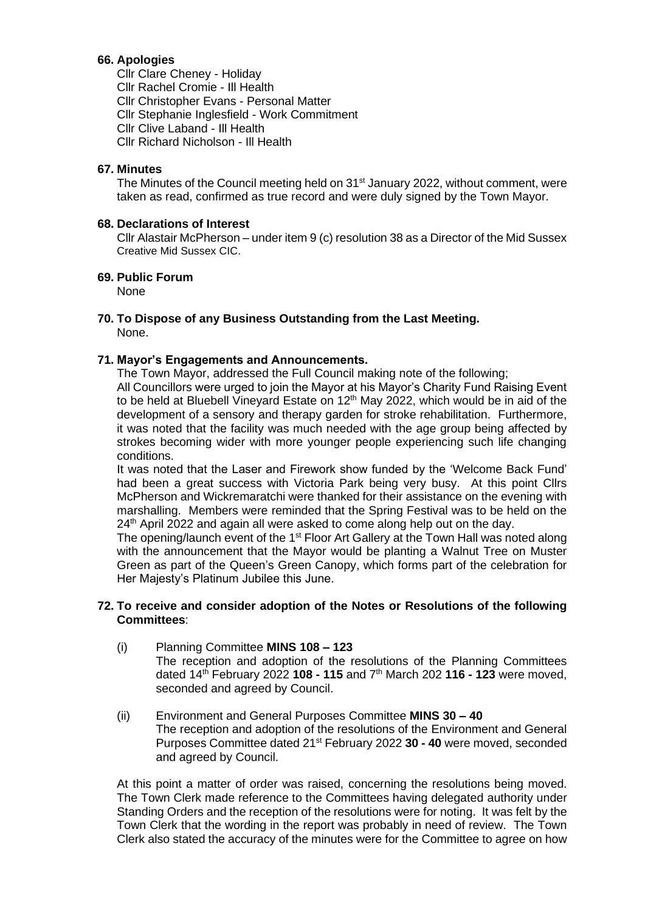# **66. Apologies**

Cllr Clare Cheney - Holiday Cllr Rachel Cromie - Ill Health Cllr Christopher Evans - Personal Matter Cllr Stephanie Inglesfield - Work Commitment Cllr Clive Laband - Ill Health Cllr Richard Nicholson - Ill Health

# **67. Minutes**

The Minutes of the Council meeting held on 31<sup>st</sup> January 2022, without comment, were taken as read, confirmed as true record and were duly signed by the Town Mayor.

## **68. Declarations of Interest**

Cllr Alastair McPherson – under item 9 (c) resolution 38 as a Director of the Mid Sussex Creative Mid Sussex CIC.

## **69. Public Forum**

None

### **70. To Dispose of any Business Outstanding from the Last Meeting.** None.

## **71. Mayor's Engagements and Announcements.**

The Town Mayor, addressed the Full Council making note of the following; All Councillors were urged to join the Mayor at his Mayor's Charity Fund Raising Event to be held at Bluebell Vineyard Estate on  $12<sup>th</sup>$  May 2022, which would be in aid of the development of a sensory and therapy garden for stroke rehabilitation. Furthermore, it was noted that the facility was much needed with the age group being affected by strokes becoming wider with more younger people experiencing such life changing conditions.

It was noted that the Laser and Firework show funded by the 'Welcome Back Fund' had been a great success with Victoria Park being very busy. At this point Cllrs McPherson and Wickremaratchi were thanked for their assistance on the evening with marshalling. Members were reminded that the Spring Festival was to be held on the 24<sup>th</sup> April 2022 and again all were asked to come along help out on the day.

The opening/launch event of the 1<sup>st</sup> Floor Art Gallery at the Town Hall was noted along with the announcement that the Mayor would be planting a Walnut Tree on Muster Green as part of the Queen's Green Canopy, which forms part of the celebration for Her Majesty's Platinum Jubilee this June.

## **72. To receive and consider adoption of the Notes or Resolutions of the following Committees**:

- (i) Planning Committee **MINS 108 – 123** The reception and adoption of the resolutions of the Planning Committees dated 14 th February 2022 **108 - 115** and 7 th March 202 **116 - 123** were moved, seconded and agreed by Council.
- (ii) Environment and General Purposes Committee **MINS 30 – 40** The reception and adoption of the resolutions of the Environment and General Purposes Committee dated 21<sup>st</sup> February 2022 30 - 40 were moved, seconded and agreed by Council.

At this point a matter of order was raised, concerning the resolutions being moved. The Town Clerk made reference to the Committees having delegated authority under Standing Orders and the reception of the resolutions were for noting. It was felt by the Town Clerk that the wording in the report was probably in need of review. The Town Clerk also stated the accuracy of the minutes were for the Committee to agree on how